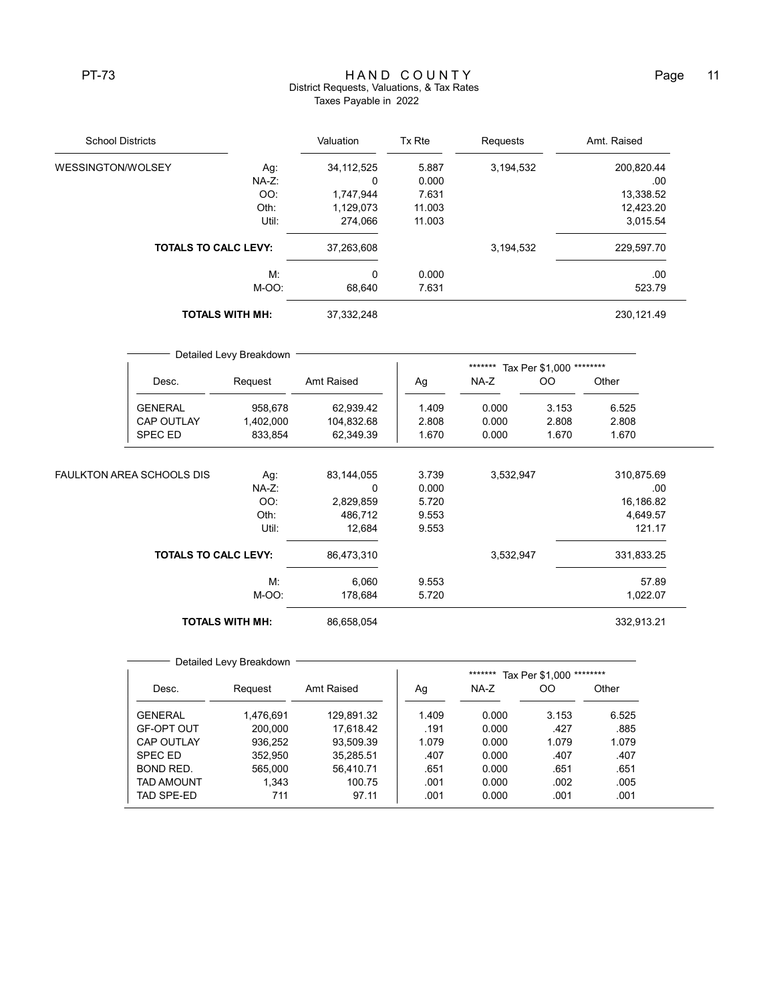## PT-73 H A N D C O U N T Y Page 11 District Requests, Valuations, & Tax Rates Taxes Payable in 2022

| <b>School Districts</b>           |                                              | Valuation               | Tx Rte                | Requests           |                                     | Amt. Raised       |                              |  |  |
|-----------------------------------|----------------------------------------------|-------------------------|-----------------------|--------------------|-------------------------------------|-------------------|------------------------------|--|--|
| WESSINGTON/WOLSEY<br>Ag:<br>NA-Z: |                                              | 34, 112, 525            | 5.887                 | 3,194,532<br>0.000 |                                     | 200,820.44<br>.00 |                              |  |  |
|                                   |                                              | $\Omega$                |                       |                    |                                     |                   |                              |  |  |
|                                   |                                              | OO:                     | 1,747,944             | 7.631              |                                     |                   | 13,338.52                    |  |  |
|                                   | Oth:<br>Util:<br><b>TOTALS TO CALC LEVY:</b> |                         | 1,129,073             | 11.003<br>11.003   |                                     |                   | 12,423.20<br>3,015.54        |  |  |
|                                   |                                              |                         | 274,066<br>37,263,608 |                    |                                     |                   |                              |  |  |
|                                   |                                              |                         |                       |                    | 3,194,532                           |                   | 229,597.70                   |  |  |
|                                   |                                              | М.                      | 0<br>68,640           | 0.000<br>7.631     |                                     |                   | .00<br>523.79<br>230, 121.49 |  |  |
|                                   |                                              | M-OO:                   |                       |                    |                                     |                   |                              |  |  |
|                                   | <b>TOTALS WITH MH:</b>                       |                         | 37,332,248            |                    |                                     |                   |                              |  |  |
|                                   |                                              | Detailed Levy Breakdown |                       |                    |                                     |                   |                              |  |  |
|                                   |                                              |                         |                       |                    | Tax Per \$1,000 ********<br>******* |                   |                              |  |  |
|                                   | Desc.                                        | Request                 | Amt Raised            | Ag                 | $NA-Z$                              | <b>OO</b>         | Other                        |  |  |
|                                   | <b>GENERAL</b>                               | 958,678                 | 62,939.42             | 1.409              | 0.000                               | 3.153             | 6.525                        |  |  |
|                                   | <b>CAP OUTLAY</b>                            | 1,402,000               | 104,832.68            | 2.808              | 0.000                               | 2.808             | 2.808                        |  |  |
|                                   | SPEC ED                                      | 833,854                 | 62,349.39             | 1.670              | 0.000                               | 1.670             | 1.670                        |  |  |
|                                   | FAULKTON AREA SCHOOLS DIS                    | Ag:                     | 83,144,055            | 3.739              | 3,532,947                           |                   | 310,875.69                   |  |  |
|                                   |                                              | NA-Z:                   | 0                     | 0.000              |                                     |                   | .00                          |  |  |
|                                   |                                              | OO:                     | 2,829,859             | 5.720              |                                     |                   | 16,186.82                    |  |  |
|                                   |                                              | Oth:                    | 486,712               | 9.553              |                                     |                   | 4,649.57                     |  |  |
|                                   |                                              | Util:                   | 12,684                | 9.553              |                                     |                   | 121.17                       |  |  |
| <b>TOTALS TO CALC LEVY:</b>       |                                              | 86,473,310              |                       | 3,532,947          |                                     | 331,833.25        |                              |  |  |
|                                   |                                              | М.                      | 6,060                 | 9.553              |                                     |                   | 57.89                        |  |  |
|                                   |                                              | M-OO:                   | 178,684               | 5.720              |                                     |                   | 1,022.07                     |  |  |
|                                   |                                              | <b>TOTALS WITH MH:</b>  | 86,658,054            |                    |                                     |                   | 332,913.21                   |  |  |

|                   |           |            |       | ******* | Tax Per \$1,000 | ******** |
|-------------------|-----------|------------|-------|---------|-----------------|----------|
| Desc.             | Request   | Amt Raised | Ag    | NA-Z    | OO              | Other    |
| <b>GENERAL</b>    | 1.476.691 | 129.891.32 | 1.409 | 0.000   | 3.153           | 6.525    |
| <b>GF-OPT OUT</b> | 200.000   | 17.618.42  | .191  | 0.000   | .427            | .885     |
| <b>CAP OUTLAY</b> | 936.252   | 93.509.39  | 1.079 | 0.000   | 1.079           | 1.079    |
| SPEC ED           | 352.950   | 35.285.51  | .407  | 0.000   | .407            | .407     |
| BOND RED.         | 565.000   | 56.410.71  | .651  | 0.000   | .651            | .651     |
| <b>TAD AMOUNT</b> | 1.343     | 100.75     | .001  | 0.000   | .002            | .005     |
| TAD SPE-ED        | 711       | 97.11      | .001  | 0.000   | .001            | .001     |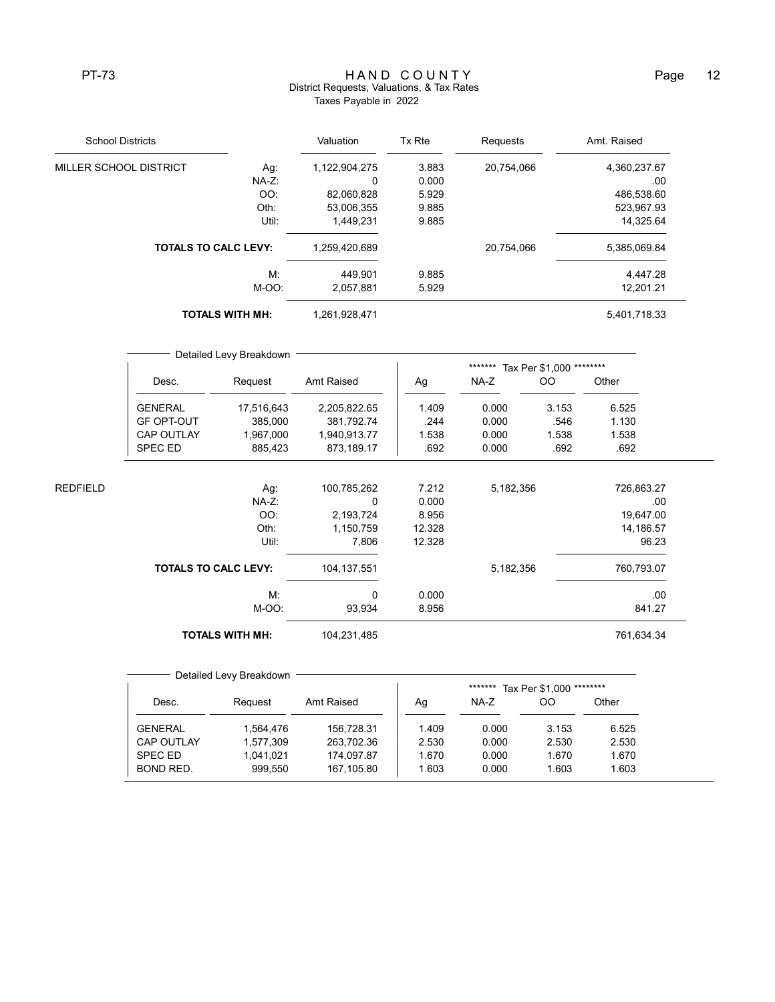## PT-73 MAND COUNTY PT-73 Page 12 District Requests, Valuations, & Tax Rates Taxes Payable in 2022

| <b>School Districts</b>     |                        | Valuation     | Tx Rte | Requests   | Amt. Raised  |
|-----------------------------|------------------------|---------------|--------|------------|--------------|
| MILLER SCHOOL DISTRICT      | Ag:                    | 1,122,904,275 | 3.883  | 20,754,066 | 4,360,237.67 |
|                             | $NA-Z$ :               | 0             | 0.000  |            | .00          |
|                             | OO:                    | 82,060,828    | 5.929  |            | 486,538.60   |
|                             | Oth:                   | 53,006,355    | 9.885  |            | 523,967.93   |
|                             | Util:                  | 1.449.231     | 9.885  |            | 14,325.64    |
| <b>TOTALS TO CALC LEVY:</b> |                        | 1,259,420,689 |        | 20,754,066 | 5,385,069.84 |
|                             | М.                     | 449.901       | 9.885  |            | 4,447.28     |
|                             | M-OO:                  | 2,057,881     | 5.929  |            | 12,201.21    |
|                             | <b>TOTALS WITH MH:</b> | 1,261,928,471 |        |            | 5,401,718.33 |

|          |                             | Detailed Levy Breakdown |               | *******<br>Tax Per \$1,000 ******** |           |               |            |  |
|----------|-----------------------------|-------------------------|---------------|-------------------------------------|-----------|---------------|------------|--|
|          | Desc.                       | Request                 | Amt Raised    | Ag                                  | NA-Z      | <sub>OO</sub> | Other      |  |
|          | <b>GENERAL</b>              | 17,516,643              | 2,205,822.65  | 1.409                               | 0.000     | 3.153         | 6.525      |  |
|          | <b>GF OPT-OUT</b>           | 385,000                 | 381,792.74    | .244                                | 0.000     | .546          | 1.130      |  |
|          | <b>CAP OUTLAY</b>           | 1,967,000               | 1,940,913.77  | 1.538                               | 0.000     | 1.538         | 1.538      |  |
|          | SPEC ED                     | 885,423                 | 873,189.17    | .692                                | 0.000     | .692          | .692       |  |
| REDFIELD |                             | Ag:                     | 100,785,262   | 7.212                               | 5,182,356 |               | 726,863.27 |  |
|          |                             | NA-Z:                   | 0             | 0.000                               |           |               | .00.       |  |
|          |                             | OO:                     | 2,193,724     | 8.956                               |           |               | 19,647.00  |  |
|          |                             | Oth:                    | 1,150,759     | 12.328                              |           |               | 14,186.57  |  |
|          |                             | Util:                   | 7,806         | 12.328                              |           |               | 96.23      |  |
|          | <b>TOTALS TO CALC LEVY:</b> |                         | 104, 137, 551 |                                     | 5,182,356 |               | 760,793.07 |  |
|          |                             | М.                      | $\Omega$      | 0.000                               |           |               | .00.       |  |
|          |                             | M-OO:                   | 93,934        | 8.956                               |           |               | 841.27     |  |
|          |                             | <b>TOTALS WITH MH:</b>  | 104,231,485   |                                     |           |               | 761,634.34 |  |

Detailed Levy Breakdown \*\*\*\*\*\*\*\* Tax Per \$1,000 \*\*\*\*\*\*\*\* Desc. Request Amt Raised | Ag NA-Z OO Other GENERAL 1,564,476 156,728.31 1.409 0.000 3.153 6.525 CAP OUTLAY 1,577,309 263,702.36 2.530 0.000 2.530 2.530 SPEC ED 1,041,021 174,097.87 1.670 0.000 1.670 1.670 BOND RED. 999,550 167,105.80 1.603 0.000 1.603 1.603